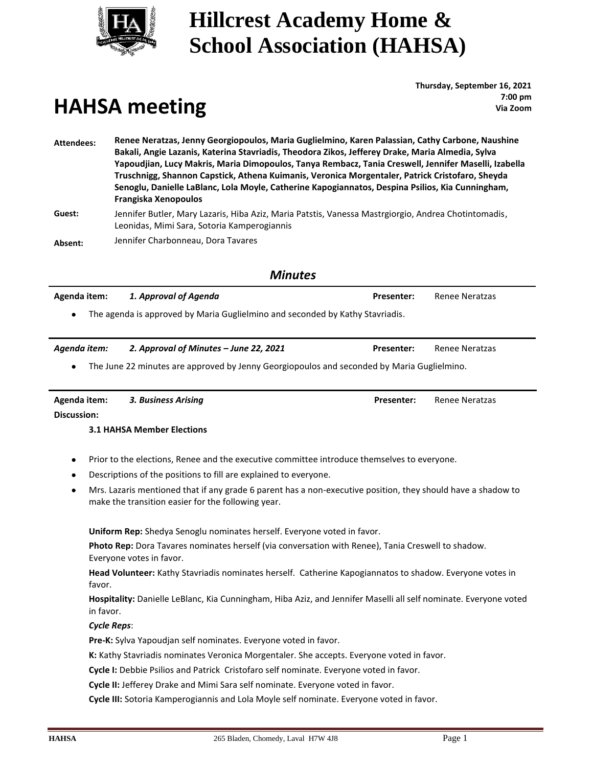

# **Hillcrest Academy Home & School Association (HAHSA)**

# **HAHSA meeting**

**Thursday, September 16, 2021 : 7:00 pm Via Zoom**

**Attendees: Renee Neratzas, Jenny Georgiopoulos, Maria Guglielmino, Karen Palassian, Cathy Carbone, Naushine Bakali, Angie Lazanis, Katerina Stavriadis, Theodora Zikos, Jefferey Drake, Maria Almedia, Sylva Yapoudjian, Lucy Makris, Maria Dimopoulos, Tanya Rembacz, Tania Creswell, Jennifer Maselli, Izabella Truschnigg, Shannon Capstick, Athena Kuimanis, Veronica Morgentaler, Patrick Cristofaro, Sheyda Senoglu, Danielle LaBlanc, Lola Moyle, Catherine Kapogiannatos, Despina Psilios, Kia Cunningham, Frangiska Xenopoulos Guest:** Jennifer Butler, Mary Lazaris, Hiba Aziz, Maria Patstis, Vanessa Mastrgiorgio, Andrea Chotintomadis, Leonidas, Mimi Sara, Sotoria Kamperogiannis

**Absent:** Jennifer Charbonneau, Dora Tavares

#### *Minutes*

| Agenda item: | 1. Approval of Agenda | <b>Presenter:</b> Renee Neratzas |  |
|--------------|-----------------------|----------------------------------|--|
|              |                       |                                  |  |

The agenda is approved by Maria Guglielmino and seconded by Kathy Stavriadis.

*Agenda item: 2. Approval of Minutes – June 22, 2021* **Presenter:** Renee Neratzas

• The June 22 minutes are approved by Jenny Georgiopoulos and seconded by Maria Guglielmino.

**Agenda item:** *3. Business Arising* **Presenter:** Renee Neratzas

**Discussion:**

#### **3.1 HAHSA Member Elections**

- Prior to the elections, Renee and the executive committee introduce themselves to everyone.
- Descriptions of the positions to fill are explained to everyone.
- Mrs. Lazaris mentioned that if any grade 6 parent has a non-executive position, they should have a shadow to make the transition easier for the following year.

**Uniform Rep:** Shedya Senoglu nominates herself. Everyone voted in favor.

**Photo Rep:** Dora Tavares nominates herself (via conversation with Renee), Tania Creswell to shadow. Everyone votes in favor.

**Head Volunteer:** Kathy Stavriadis nominates herself. Catherine Kapogiannatos to shadow. Everyone votes in favor.

**Hospitality:** Danielle LeBlanc, Kia Cunningham, Hiba Aziz, and Jennifer Maselli all self nominate. Everyone voted in favor.

#### *Cycle Reps*:

**Pre-K:** Sylva Yapoudjan self nominates. Everyone voted in favor.

**K:** Kathy Stavriadis nominates Veronica Morgentaler. She accepts. Everyone voted in favor.

**Cycle I:** Debbie Psilios and Patrick Cristofaro self nominate. Everyone voted in favor.

**Cycle II:** Jefferey Drake and Mimi Sara self nominate. Everyone voted in favor.

**Cycle III:** Sotoria Kamperogiannis and Lola Moyle self nominate. Everyone voted in favor.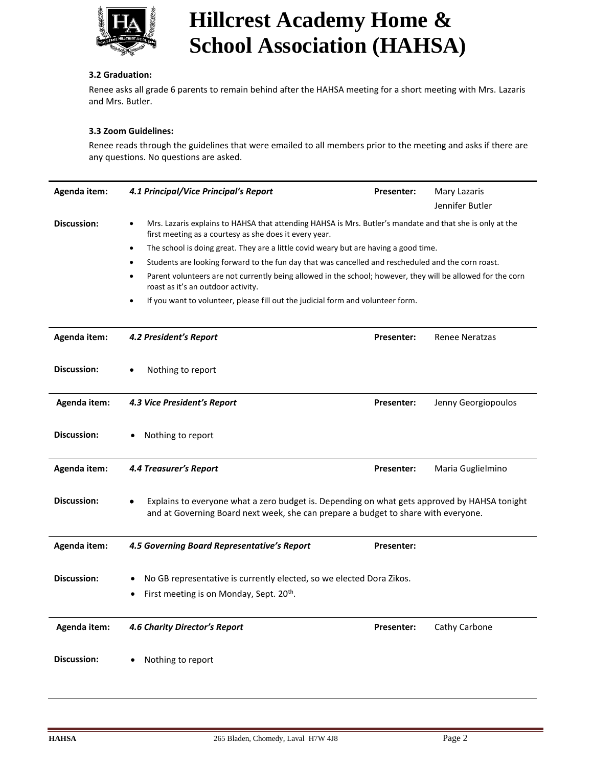

# **Hillcrest Academy Home & School Association (HAHSA)**

#### **3.2 Graduation:**

Renee asks all grade 6 parents to remain behind after the HAHSA meeting for a short meeting with Mrs. Lazaris and Mrs. Butler.

#### **3.3 Zoom Guidelines:**

Renee reads through the guidelines that were emailed to all members prior to the meeting and asks if there are any questions. No questions are asked.

| Agenda item:       | 4.1 Principal/Vice Principal's Report                                                                                                                                              | Presenter:                                                                                                                                                                                     | Mary Lazaris          |  |  |
|--------------------|------------------------------------------------------------------------------------------------------------------------------------------------------------------------------------|------------------------------------------------------------------------------------------------------------------------------------------------------------------------------------------------|-----------------------|--|--|
|                    |                                                                                                                                                                                    |                                                                                                                                                                                                | Jennifer Butler       |  |  |
| Discussion:        | Mrs. Lazaris explains to HAHSA that attending HAHSA is Mrs. Butler's mandate and that she is only at the<br>$\bullet$<br>first meeting as a courtesy as she does it every year.    |                                                                                                                                                                                                |                       |  |  |
|                    | The school is doing great. They are a little covid weary but are having a good time.<br>$\bullet$                                                                                  |                                                                                                                                                                                                |                       |  |  |
|                    | Students are looking forward to the fun day that was cancelled and rescheduled and the corn roast.                                                                                 |                                                                                                                                                                                                |                       |  |  |
|                    | roast as it's an outdoor activity.                                                                                                                                                 | Parent volunteers are not currently being allowed in the school; however, they will be allowed for the corn<br>If you want to volunteer, please fill out the judicial form and volunteer form. |                       |  |  |
|                    |                                                                                                                                                                                    |                                                                                                                                                                                                |                       |  |  |
| Agenda item:       | 4.2 President's Report                                                                                                                                                             | Presenter:                                                                                                                                                                                     | <b>Renee Neratzas</b> |  |  |
| <b>Discussion:</b> | Nothing to report                                                                                                                                                                  |                                                                                                                                                                                                |                       |  |  |
| Agenda item:       | 4.3 Vice President's Report                                                                                                                                                        | Presenter:                                                                                                                                                                                     | Jenny Georgiopoulos   |  |  |
| <b>Discussion:</b> | Nothing to report                                                                                                                                                                  |                                                                                                                                                                                                |                       |  |  |
| Agenda item:       | <b>4.4 Treasurer's Report</b>                                                                                                                                                      | Presenter:                                                                                                                                                                                     | Maria Guglielmino     |  |  |
| <b>Discussion:</b> | Explains to everyone what a zero budget is. Depending on what gets approved by HAHSA tonight<br>and at Governing Board next week, she can prepare a budget to share with everyone. |                                                                                                                                                                                                |                       |  |  |
| Agenda item:       | 4.5 Governing Board Representative's Report                                                                                                                                        | <b>Presenter:</b>                                                                                                                                                                              |                       |  |  |
| Discussion:        | No GB representative is currently elected, so we elected Dora Zikos.                                                                                                               |                                                                                                                                                                                                |                       |  |  |
|                    | First meeting is on Monday, Sept. 20 <sup>th</sup> .                                                                                                                               |                                                                                                                                                                                                |                       |  |  |
| Agenda item:       | <b>4.6 Charity Director's Report</b>                                                                                                                                               | <b>Presenter:</b>                                                                                                                                                                              | Cathy Carbone         |  |  |
| Discussion:        | Nothing to report                                                                                                                                                                  |                                                                                                                                                                                                |                       |  |  |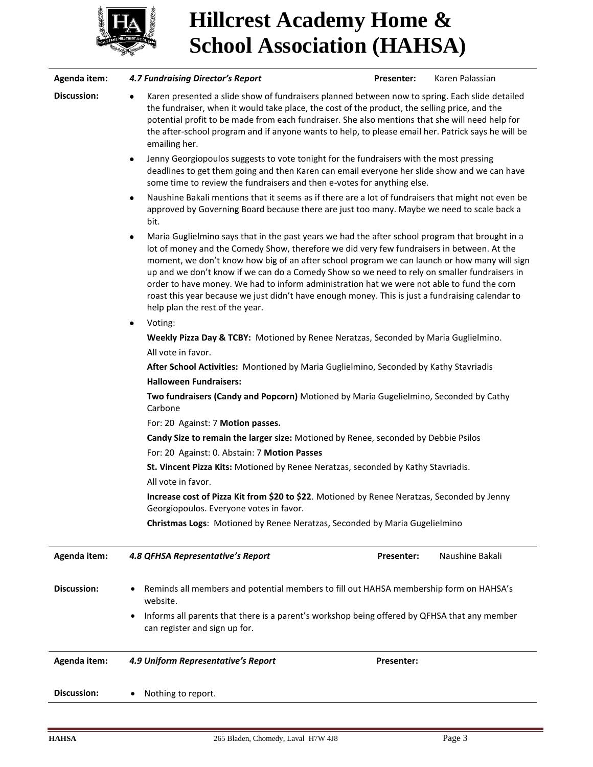

# **Hillcrest Academy Home & School Association (HAHSA)**

| Agenda item: | <b>4.7 Fundraising Director's Report</b><br>Presenter:<br>Karen Palassian                                                                                                                                                                                                                                                                                                                                                                                                                                                                                                                                                               |  |  |  |  |
|--------------|-----------------------------------------------------------------------------------------------------------------------------------------------------------------------------------------------------------------------------------------------------------------------------------------------------------------------------------------------------------------------------------------------------------------------------------------------------------------------------------------------------------------------------------------------------------------------------------------------------------------------------------------|--|--|--|--|
| Discussion:  | Karen presented a slide show of fundraisers planned between now to spring. Each slide detailed<br>the fundraiser, when it would take place, the cost of the product, the selling price, and the<br>potential profit to be made from each fundraiser. She also mentions that she will need help for<br>the after-school program and if anyone wants to help, to please email her. Patrick says he will be<br>emailing her.                                                                                                                                                                                                               |  |  |  |  |
|              | Jenny Georgiopoulos suggests to vote tonight for the fundraisers with the most pressing<br>$\bullet$<br>deadlines to get them going and then Karen can email everyone her slide show and we can have<br>some time to review the fundraisers and then e-votes for anything else.                                                                                                                                                                                                                                                                                                                                                         |  |  |  |  |
|              | Naushine Bakali mentions that it seems as if there are a lot of fundraisers that might not even be<br>٠<br>approved by Governing Board because there are just too many. Maybe we need to scale back a<br>bit.                                                                                                                                                                                                                                                                                                                                                                                                                           |  |  |  |  |
|              | Maria Guglielmino says that in the past years we had the after school program that brought in a<br>٠<br>lot of money and the Comedy Show, therefore we did very few fundraisers in between. At the<br>moment, we don't know how big of an after school program we can launch or how many will sign<br>up and we don't know if we can do a Comedy Show so we need to rely on smaller fundraisers in<br>order to have money. We had to inform administration hat we were not able to fund the corn<br>roast this year because we just didn't have enough money. This is just a fundraising calendar to<br>help plan the rest of the year. |  |  |  |  |
|              | Voting:<br>٠                                                                                                                                                                                                                                                                                                                                                                                                                                                                                                                                                                                                                            |  |  |  |  |
|              | Weekly Pizza Day & TCBY: Motioned by Renee Neratzas, Seconded by Maria Guglielmino.                                                                                                                                                                                                                                                                                                                                                                                                                                                                                                                                                     |  |  |  |  |
|              | All vote in favor.                                                                                                                                                                                                                                                                                                                                                                                                                                                                                                                                                                                                                      |  |  |  |  |
|              | After School Activities: Montioned by Maria Guglielmino, Seconded by Kathy Stavriadis                                                                                                                                                                                                                                                                                                                                                                                                                                                                                                                                                   |  |  |  |  |
|              | <b>Halloween Fundraisers:</b>                                                                                                                                                                                                                                                                                                                                                                                                                                                                                                                                                                                                           |  |  |  |  |
|              | Two fundraisers (Candy and Popcorn) Motioned by Maria Gugelielmino, Seconded by Cathy<br>Carbone                                                                                                                                                                                                                                                                                                                                                                                                                                                                                                                                        |  |  |  |  |
|              | For: 20 Against: 7 Motion passes.                                                                                                                                                                                                                                                                                                                                                                                                                                                                                                                                                                                                       |  |  |  |  |
|              | Candy Size to remain the larger size: Motioned by Renee, seconded by Debbie Psilos                                                                                                                                                                                                                                                                                                                                                                                                                                                                                                                                                      |  |  |  |  |
|              | For: 20 Against: 0. Abstain: 7 Motion Passes                                                                                                                                                                                                                                                                                                                                                                                                                                                                                                                                                                                            |  |  |  |  |
|              | St. Vincent Pizza Kits: Motioned by Renee Neratzas, seconded by Kathy Stavriadis.                                                                                                                                                                                                                                                                                                                                                                                                                                                                                                                                                       |  |  |  |  |
|              | All vote in favor.                                                                                                                                                                                                                                                                                                                                                                                                                                                                                                                                                                                                                      |  |  |  |  |
|              | Increase cost of Pizza Kit from \$20 to \$22. Motioned by Renee Neratzas, Seconded by Jenny<br>Georgiopoulos. Everyone votes in favor.                                                                                                                                                                                                                                                                                                                                                                                                                                                                                                  |  |  |  |  |
|              | Christmas Logs: Motioned by Renee Neratzas, Seconded by Maria Gugelielmino                                                                                                                                                                                                                                                                                                                                                                                                                                                                                                                                                              |  |  |  |  |
| Agenda item: | 4.8 QFHSA Representative's Report<br>Naushine Bakali<br>Presenter:                                                                                                                                                                                                                                                                                                                                                                                                                                                                                                                                                                      |  |  |  |  |
| Discussion:  | Reminds all members and potential members to fill out HAHSA membership form on HAHSA's<br>website.                                                                                                                                                                                                                                                                                                                                                                                                                                                                                                                                      |  |  |  |  |
|              | Informs all parents that there is a parent's workshop being offered by QFHSA that any member<br>can register and sign up for.                                                                                                                                                                                                                                                                                                                                                                                                                                                                                                           |  |  |  |  |
| Agenda item: | 4.9 Uniform Representative's Report<br><b>Presenter:</b>                                                                                                                                                                                                                                                                                                                                                                                                                                                                                                                                                                                |  |  |  |  |
| Discussion:  | Nothing to report.                                                                                                                                                                                                                                                                                                                                                                                                                                                                                                                                                                                                                      |  |  |  |  |
|              |                                                                                                                                                                                                                                                                                                                                                                                                                                                                                                                                                                                                                                         |  |  |  |  |